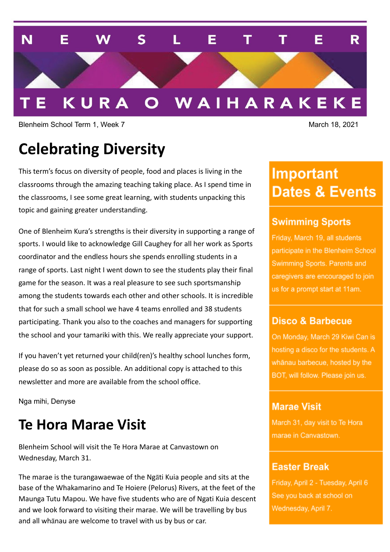

Blenheim School Term 1, Week 7 March 18, 2021

# **Celebrating Diversity**

This term's focus on diversity of people, food and places is living in the classrooms through the amazing teaching taking place. As I spend time in the classrooms, I see some great learning, with students unpacking this topic and gaining greater understanding.

One of Blenheim Kura's strengths is their diversity in supporting a range of sports. I would like to acknowledge Gill Caughey for all her work as Sports coordinator and the endless hours she spends enrolling students in a range of sports. Last night I went down to see the students play their final game for the season. It was a real pleasure to see such sportsmanship among the students towards each other and other schools. It is incredible that for such a small school we have 4 teams enrolled and 38 students participating. Thank you also to the coaches and managers for supporting the school and your tamariki with this. We really appreciate your support.

If you haven't yet returned your child(ren)'s healthy school lunches form, please do so as soon as possible. An additional copy is attached to this newsletter and more are available from the school office.

Nga mihi, Denyse

## **Te Hora Marae Visit**

Blenheim School will visit the Te Hora Marae at Canvastown on Wednesday, March 31.

The marae is the turangawaewae of the Ngāti Kuia people and sits at the base of the Whakamarino and Te Hoiere (Pelorus) Rivers, at the feet of the Maunga Tutu Mapou. We have five students who are of Ngati Kuia descent and we look forward to visiting their marae. We will be travelling by bus and all whānau are welcome to travel with us by bus or car.

# **Important Dates & Events**

### **Swimming Sports**

Friday, March 19, all students participate in the Blenheim School Swimming Sports. Parents and caregivers are encouraged to join us for a prompt start at 11am.

#### **Disco & Barbecue**

On Monday, March 29 Kiwi Can is hosting a disco for the students. A whānau barbecue, hosted by the BOT, will follow. Please join us.

### **Marae Visit**

March 31, day visit to Te Hora marae in Canvastown.

#### **Easter Break**

Friday, April 2 - Tuesday, April 6 See you back at school on Wednesday, April 7.